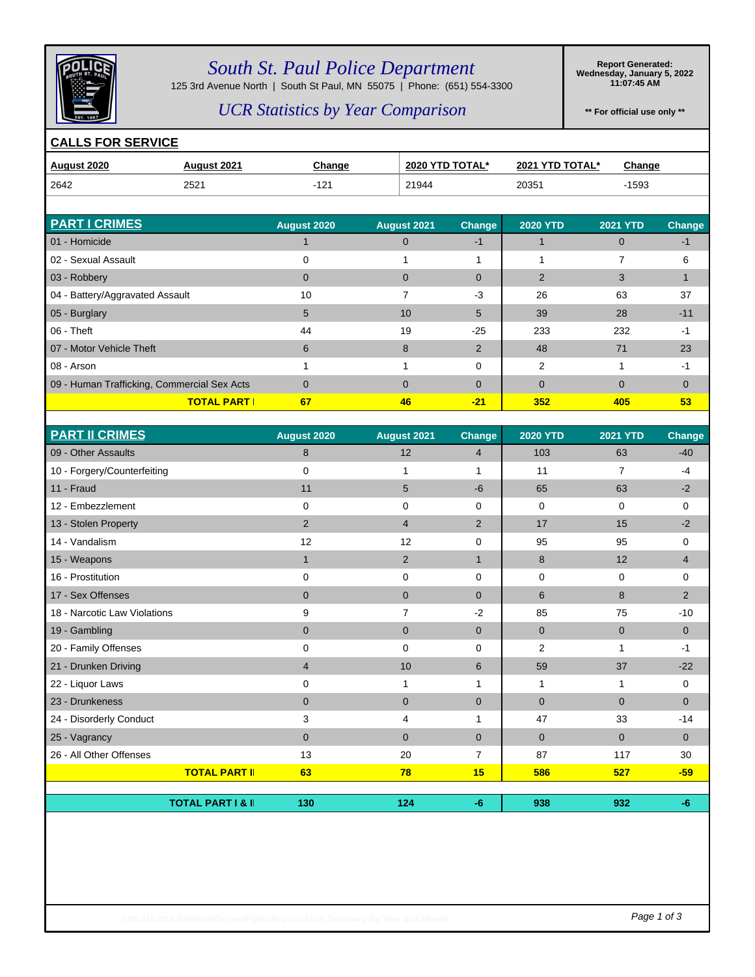

### *South St. Paul Police Department*

125 3rd Avenue North | South St Paul, MN 55075 | Phone: (651) 554-3300

**Report Generated: Wednesday, January 5, 2022 11:07:45 AM**

### *UCR Statistics by Year Comparison*

**\*\* For official use only \*\***

#### **CALLS FOR SERVICE**

| <b>August 2020</b>              | <b>August 2021</b> | Change      |                    | 2020 YTD TOTAL* | 2021 YTD TOTAL* | Change          |               |
|---------------------------------|--------------------|-------------|--------------------|-----------------|-----------------|-----------------|---------------|
| 2642                            | 2521               | $-121$      | 21944              |                 | 20351           | $-1593$         |               |
|                                 |                    |             |                    |                 |                 |                 |               |
| <b>PART I CRIMES</b>            |                    | August 2020 | <b>August 2021</b> | <b>Change</b>   | <b>2020 YTD</b> | <b>2021 YTD</b> | <b>Change</b> |
| 01 - Homicide                   |                    |             | $\Omega$           | $-1$            |                 | $\mathbf{0}$    | -1            |
| 02 - Sexual Assault             |                    | 0           |                    | 4               |                 | 7               | 6             |
| 03 - Robbery                    |                    | $\Omega$    | $\Omega$           | $\Omega$        | $\overline{2}$  | 3               |               |
| 04 - Battery/Aggravated Assault |                    | 10          |                    | $-3$            | 26              | 63              | 37            |
| 05 - Burglary                   |                    | 5           | 10                 | 5               | 39              | 28              | $-11$         |
| $06 - \text{Theft}$             |                    | 44          | 19                 | $-25$           | 233             | 232             | -1            |
| 07 - Motor Vehicle Theft        |                    | 6           | 8                  | $\overline{2}$  | 48              | 71              | 23            |
| 08 - Arson                      |                    |             |                    | $\Omega$        | 2               |                 | -1            |

09 - Human Trafficking, Commercial Sex Acts 0 0 0 0 0 0 **TOTAL PART I 67 46 -21 352 405 53**

| <b>PART II CRIMES</b>        |                              | August 2020    | August 2021    | <b>Change</b>  | <b>2020 YTD</b> | <b>2021 YTD</b> | <b>Change</b> |
|------------------------------|------------------------------|----------------|----------------|----------------|-----------------|-----------------|---------------|
| 09 - Other Assaults          |                              | 8              | 12             | $\overline{4}$ | 103             | 63              | $-40$         |
| 10 - Forgery/Counterfeiting  |                              | $\mathbf 0$    | 1              | 1              | 11              | 7               | $-4$          |
| 11 - Fraud                   |                              | 11             | 5              | $-6$           | 65              | 63              | $-2$          |
| 12 - Embezzlement            |                              | 0              | $\mathbf 0$    | 0              | 0               | 0               | 0             |
| 13 - Stolen Property         |                              | $\overline{2}$ | $\overline{4}$ | 2              | 17              | 15              | $-2$          |
| 14 - Vandalism               |                              | 12             | 12             | $\Omega$       | 95              | 95              | 0             |
| 15 - Weapons                 |                              | $\mathbf{1}$   | $\overline{2}$ | $\mathbf{1}$   | 8               | 12              | 4             |
| 16 - Prostitution            |                              | 0              | 0              | $\Omega$       | 0               | 0               | 0             |
| 17 - Sex Offenses            |                              | $\overline{0}$ | $\mathbf{0}$   | $\Omega$       | 6               | 8               | 2             |
| 18 - Narcotic Law Violations |                              | 9              | $\overline{7}$ | $-2$           | 85              | 75              | $-10$         |
| 19 - Gambling                |                              | $\mathbf{0}$   | $\mathbf 0$    | $\overline{0}$ | $\mathbf{0}$    | $\overline{0}$  | $\mathbf{0}$  |
| 20 - Family Offenses         |                              | 0              | $\mathbf 0$    | $\Omega$       | 2               | 1               | $-1$          |
| 21 - Drunken Driving         |                              | 4              | 10             | 6              | 59              | 37              | $-22$         |
| 22 - Liquor Laws             |                              | 0              | 1              | 1              | 1               | 1               | 0             |
| 23 - Drunkeness              |                              | $\mathbf{0}$   | $\mathbf 0$    | $\overline{0}$ | $\mathbf{0}$    | $\Omega$        | $\mathbf{0}$  |
| 24 - Disorderly Conduct      |                              | 3              | 4              | 1              | 47              | 33              | $-14$         |
| 25 - Vagrancy                |                              | $\Omega$       | $\Omega$       | $\Omega$       | $\Omega$        | $\Omega$        | $\Omega$      |
| 26 - All Other Offenses      |                              | 13             | 20             | $\overline{7}$ | 87              | 117             | 30            |
|                              | <b>TOTAL PART II</b>         | 63             | 78             | 15             | 586             | 527             | $-59$         |
|                              |                              |                |                |                |                 |                 |               |
|                              | <b>TOTAL PART I &amp; II</b> | 130            | 124            | $-6$           | 938             | 932             | $-6$          |

http://10.25.3.44/ReportServer/PoliceReports/UCR Summary By Year and Month **Page 1 of 3**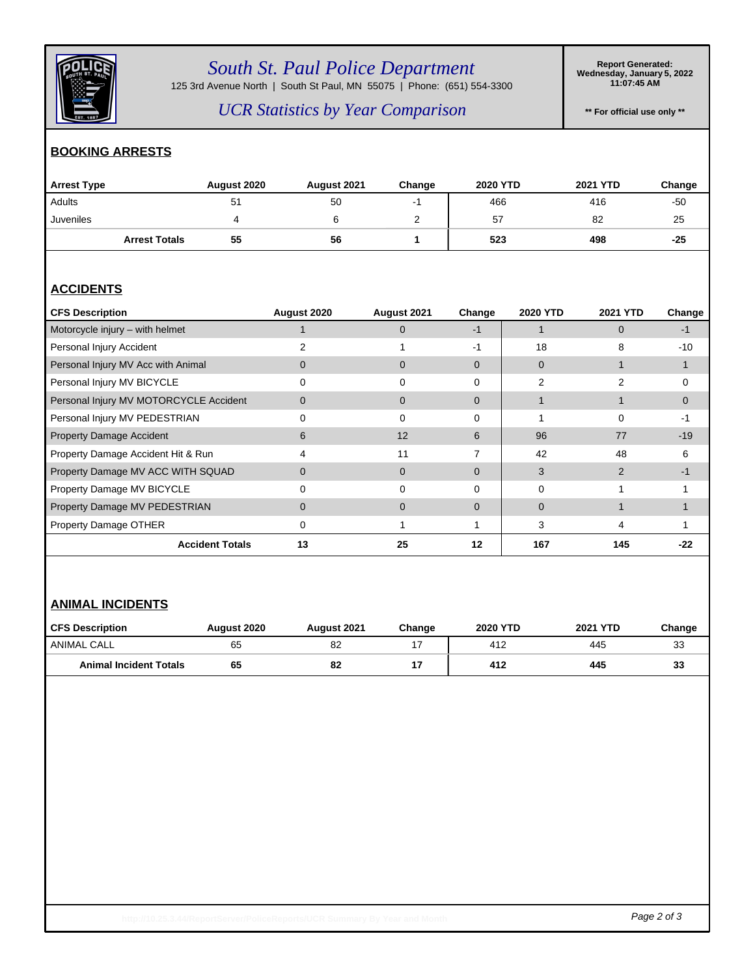

## *South St. Paul Police Department*

125 3rd Avenue North | South St Paul, MN 55075 | Phone: (651) 554-3300

**Report Generated: Wednesday, January 5, 2022 11:07:45 AM**

*UCR Statistics by Year Comparison*

**\*\* For official use only \*\***

### **BOOKING ARRESTS**

| <b>Arrest Type</b>   | August 2020 | August 2021 | Change | <b>2020 YTD</b> | 2021 YTD | Change |
|----------------------|-------------|-------------|--------|-----------------|----------|--------|
| Adults               | 51          | 50          |        | 466             | 416      | -50    |
| Juveniles            |             |             | ▃      | 57              | 82       | 25     |
| <b>Arrest Totals</b> | 55          | 56          |        | 523             | 498      | $-25$  |

### **ACCIDENTS**

| <b>CFS Description</b>                 | August 2020 | August 2021  | Change   | 2020 YTD | <b>2021 YTD</b> | Change   |
|----------------------------------------|-------------|--------------|----------|----------|-----------------|----------|
| Motorcycle injury - with helmet        |             | $\Omega$     | -1       |          | $\Omega$        | -1       |
| Personal Injury Accident               |             |              | -1       | 18       | 8               | $-10$    |
| Personal Injury MV Acc with Animal     | 0           | 0            | $\Omega$ | $\Omega$ |                 |          |
| Personal Injury MV BICYCLE             |             |              | $\Omega$ | 2        | 2               | $\Omega$ |
| Personal Injury MV MOTORCYCLE Accident | 0           | $\mathbf{0}$ | $\Omega$ |          |                 | $\Omega$ |
| Personal Injury MV PEDESTRIAN          | 0           | $\Omega$     | 0        |          | 0               | -1       |
| <b>Property Damage Accident</b>        | 6           | 12           | 6        | 96       | 77              | $-19$    |
| Property Damage Accident Hit & Run     | 4           | 11           | 7        | 42       | 48              | 6        |
| Property Damage MV ACC WITH SQUAD      | 0           | $\mathbf{0}$ | $\Omega$ | 3        | $\mathcal{P}$   | -1       |
| Property Damage MV BICYCLE             |             | ∩            | $\Omega$ | U        |                 |          |
| Property Damage MV PEDESTRIAN          | 0           | $\Omega$     | $\Omega$ | $\Omega$ |                 |          |
| Property Damage OTHER                  | 0           |              |          | 3        | 4               |          |
| <b>Accident Totals</b>                 | 13          | 25           | 12       | 167      | 145             | -22      |

#### **ANIMAL INCIDENTS**

| <b>CFS Description</b>        | <b>August 2020</b> | August 2021 | Change | <b>2020 YTD</b> | <b>2021 YTD</b> | Change |
|-------------------------------|--------------------|-------------|--------|-----------------|-----------------|--------|
| ANIMAL CALL                   | 65                 | 82          | . –    | 412             | 445             | 33     |
| <b>Animal Incident Totals</b> | 65                 | 82          |        | 412             | 445             | 33     |